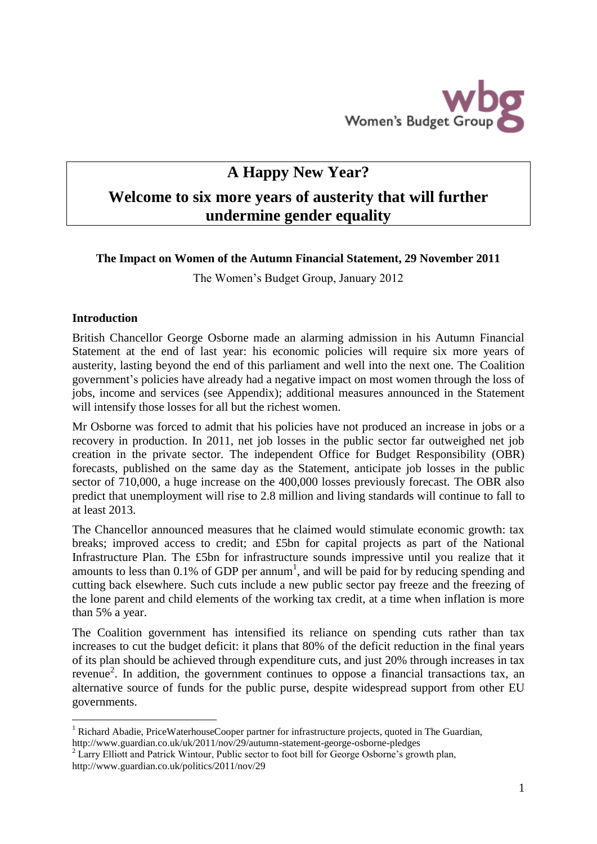

# **A Happy New Year? Welcome to six more years of austerity that will further undermine gender equality**

# **The Impact on Women of the Autumn Financial Statement, 29 November 2011**

The Women's Budget Group, January 2012

## **Introduction**

1

British Chancellor George Osborne made an alarming admission in his Autumn Financial Statement at the end of last year: his economic policies will require six more years of austerity, lasting beyond the end of this parliament and well into the next one. The Coalition government's policies have already had a negative impact on most women through the loss of jobs, income and services (see Appendix); additional measures announced in the Statement will intensify those losses for all but the richest women.

Mr Osborne was forced to admit that his policies have not produced an increase in jobs or a recovery in production. In 2011, net job losses in the public sector far outweighed net job creation in the private sector. The independent Office for Budget Responsibility (OBR) forecasts, published on the same day as the Statement, anticipate job losses in the public sector of 710,000, a huge increase on the 400,000 losses previously forecast. The OBR also predict that unemployment will rise to 2.8 million and living standards will continue to fall to at least 2013.

The Chancellor announced measures that he claimed would stimulate economic growth: tax breaks; improved access to credit; and £5bn for capital projects as part of the National Infrastructure Plan. The £5bn for infrastructure sounds impressive until you realize that it amounts to less than  $0.1\%$  of GDP per annum<sup>1</sup>, and will be paid for by reducing spending and cutting back elsewhere. Such cuts include a new public sector pay freeze and the freezing of the lone parent and child elements of the working tax credit, at a time when inflation is more than 5% a year.

The Coalition government has intensified its reliance on spending cuts rather than tax increases to cut the budget deficit: it plans that 80% of the deficit reduction in the final years of its plan should be achieved through expenditure cuts, and just 20% through increases in tax revenue<sup>2</sup>. In addition, the government continues to oppose a financial transactions tax, an alternative source of funds for the public purse, despite widespread support from other EU governments.

<sup>&</sup>lt;sup>1</sup> Richard Abadie, PriceWaterhouseCooper partner for infrastructure projects, quoted in The Guardian, http://www.guardian.co.uk/uk/2011/nov/29/autumn-statement-george-osborne-pledges

<sup>&</sup>lt;sup>2</sup> Larry Elliott and Patrick Wintour, Public sector to foot bill for George Osborne's growth plan, http://www.guardian.co.uk/politics/2011/nov/29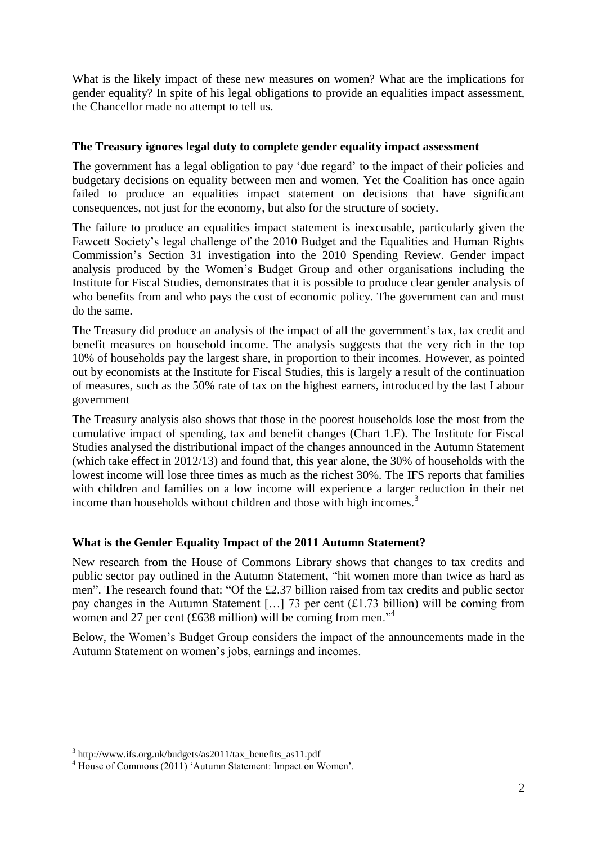What is the likely impact of these new measures on women? What are the implications for gender equality? In spite of his legal obligations to provide an equalities impact assessment, the Chancellor made no attempt to tell us.

# **The Treasury ignores legal duty to complete gender equality impact assessment**

The government has a legal obligation to pay 'due regard' to the impact of their policies and budgetary decisions on equality between men and women. Yet the Coalition has once again failed to produce an equalities impact statement on decisions that have significant consequences, not just for the economy, but also for the structure of society.

The failure to produce an equalities impact statement is inexcusable, particularly given the Fawcett Society's legal challenge of the 2010 Budget and the Equalities and Human Rights Commission's Section 31 investigation into the 2010 Spending Review. Gender impact analysis produced by the Women's Budget Group and other organisations including the Institute for Fiscal Studies, demonstrates that it is possible to produce clear gender analysis of who benefits from and who pays the cost of economic policy. The government can and must do the same.

The Treasury did produce an analysis of the impact of all the government's tax, tax credit and benefit measures on household income. The analysis suggests that the very rich in the top 10% of households pay the largest share, in proportion to their incomes. However, as pointed out by economists at the Institute for Fiscal Studies, this is largely a result of the continuation of measures, such as the 50% rate of tax on the highest earners, introduced by the last Labour government

The Treasury analysis also shows that those in the poorest households lose the most from the cumulative impact of spending, tax and benefit changes (Chart 1.E). The Institute for Fiscal Studies analysed the distributional impact of the changes announced in the Autumn Statement (which take effect in 2012/13) and found that, this year alone, the 30% of households with the lowest income will lose three times as much as the richest 30%. The IFS reports that families with children and families on a low income will experience a larger reduction in their net income than households without children and those with high incomes. 3

# **What is the Gender Equality Impact of the 2011 Autumn Statement?**

New research from the House of Commons Library shows that changes to tax credits and public sector pay outlined in the Autumn Statement, "hit women more than twice as hard as men". The research found that: "Of the £2.37 billion raised from tax credits and public sector pay changes in the Autumn Statement […] 73 per cent (£1.73 billion) will be coming from women and 27 per cent (£638 million) will be coming from men.<sup>34</sup>

Below, the Women's Budget Group considers the impact of the announcements made in the Autumn Statement on women's jobs, earnings and incomes.

<sup>&</sup>lt;u>.</u> 3 http://www.ifs.org.uk/budgets/as2011/tax\_benefits\_as11.pdf

<sup>&</sup>lt;sup>4</sup> House of Commons (2011) 'Autumn Statement: Impact on Women'.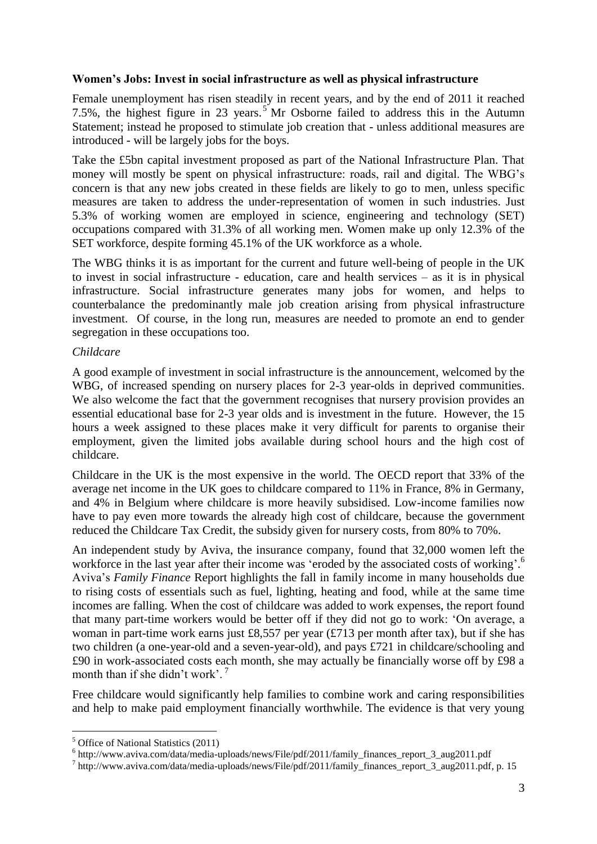## **Women's Jobs: Invest in social infrastructure as well as physical infrastructure**

Female unemployment has risen steadily in recent years, and by the end of 2011 it reached 7.5%, the highest figure in 23 years. <sup>5</sup> Mr Osborne failed to address this in the Autumn Statement; instead he proposed to stimulate job creation that - unless additional measures are introduced - will be largely jobs for the boys.

Take the £5bn capital investment proposed as part of the National Infrastructure Plan. That money will mostly be spent on physical infrastructure: roads, rail and digital. The WBG's concern is that any new jobs created in these fields are likely to go to men, unless specific measures are taken to address the under-representation of women in such industries. Just 5.3% of working women are employed in science, engineering and technology (SET) occupations compared with 31.3% of all working men. Women make up only 12.3% of the SET workforce, despite forming 45.1% of the UK workforce as a whole.

The WBG thinks it is as important for the current and future well-being of people in the UK to invest in social infrastructure - education, care and health services – as it is in physical infrastructure. Social infrastructure generates many jobs for women, and helps to counterbalance the predominantly male job creation arising from physical infrastructure investment. Of course, in the long run, measures are needed to promote an end to gender segregation in these occupations too.

## *Childcare*

A good example of investment in social infrastructure is the announcement, welcomed by the WBG, of increased spending on nursery places for 2-3 year-olds in deprived communities. We also welcome the fact that the government recognises that nursery provision provides an essential educational base for 2-3 year olds and is investment in the future. However, the 15 hours a week assigned to these places make it very difficult for parents to organise their employment, given the limited jobs available during school hours and the high cost of childcare.

Childcare in the UK is the most expensive in the world. The OECD report that 33% of the average net income in the UK goes to childcare compared to 11% in France, 8% in Germany, and 4% in Belgium where childcare is more heavily subsidised. Low-income families now have to pay even more towards the already high cost of childcare, because the government reduced the Childcare Tax Credit, the subsidy given for nursery costs, from 80% to 70%.

An independent study by Aviva, the insurance company, found that 32,000 women left the workforce in the last year after their income was 'eroded by the associated costs of working'.<sup>6</sup> Aviva's *Family Finance* Report highlights the fall in family income in many households due to rising costs of essentials such as fuel, lighting, heating and food, while at the same time incomes are falling. When the cost of childcare was added to work expenses, the report found that many part-time workers would be better off if they did not go to work: 'On average, a woman in part-time work earns just £8,557 per year (£713 per month after tax), but if she has two children (a one-year-old and a seven-year-old), and pays £721 in childcare/schooling and £90 in work-associated costs each month, she may actually be financially worse off by £98 a month than if she didn't work'.<sup>7</sup>

Free childcare would significantly help families to combine work and caring responsibilities and help to make paid employment financially worthwhile. The evidence is that very young

<u>.</u>

<sup>5</sup> Office of National Statistics (2011)

<sup>&</sup>lt;sup>6</sup> http://www.aviva.com/data/media-uploads/news/File/pdf/2011/family\_finances\_report\_3\_aug2011.pdf

<sup>7</sup> http://www.aviva.com/data/media-uploads/news/File/pdf/2011/family\_finances\_report\_3\_aug2011.pdf, p. 15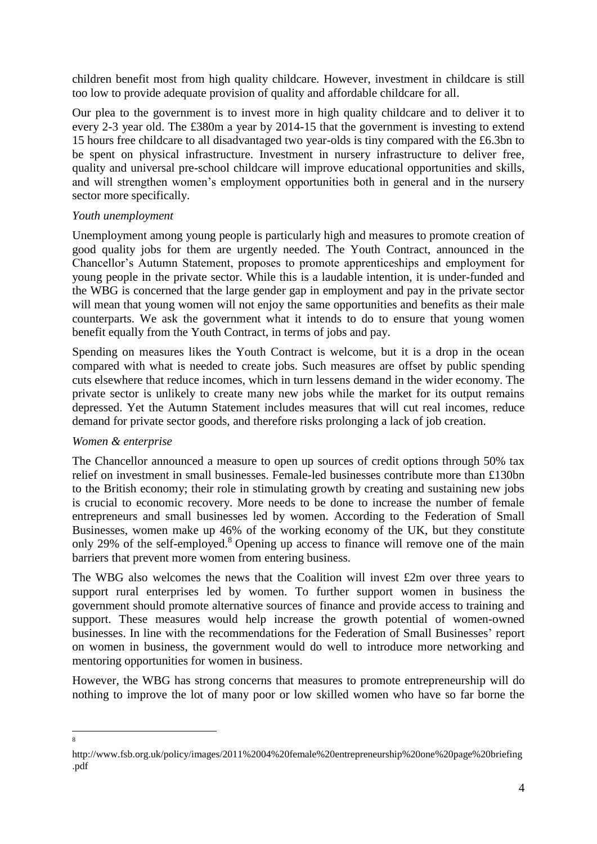children benefit most from high quality childcare. However, investment in childcare is still too low to provide adequate provision of quality and affordable childcare for all.

Our plea to the government is to invest more in high quality childcare and to deliver it to every 2-3 year old. The £380m a year by 2014-15 that the government is investing to extend 15 hours free childcare to all disadvantaged two year-olds is tiny compared with the £6.3bn to be spent on physical infrastructure. Investment in nursery infrastructure to deliver free, quality and universal pre-school childcare will improve educational opportunities and skills, and will strengthen women's employment opportunities both in general and in the nursery sector more specifically.

## *Youth unemployment*

Unemployment among young people is particularly high and measures to promote creation of good quality jobs for them are urgently needed. The Youth Contract, announced in the Chancellor's Autumn Statement, proposes to promote apprenticeships and employment for young people in the private sector. While this is a laudable intention, it is under-funded and the WBG is concerned that the large gender gap in employment and pay in the private sector will mean that young women will not enjoy the same opportunities and benefits as their male counterparts. We ask the government what it intends to do to ensure that young women benefit equally from the Youth Contract, in terms of jobs and pay.

Spending on measures likes the Youth Contract is welcome, but it is a drop in the ocean compared with what is needed to create jobs. Such measures are offset by public spending cuts elsewhere that reduce incomes, which in turn lessens demand in the wider economy. The private sector is unlikely to create many new jobs while the market for its output remains depressed. Yet the Autumn Statement includes measures that will cut real incomes, reduce demand for private sector goods, and therefore risks prolonging a lack of job creation.

# *Women & enterprise*

The Chancellor announced a measure to open up sources of credit options through 50% tax relief on investment in small businesses. Female-led businesses contribute more than £130bn to the British economy; their role in stimulating growth by creating and sustaining new jobs is crucial to economic recovery. More needs to be done to increase the number of female entrepreneurs and small businesses led by women. According to the Federation of Small Businesses, women make up 46% of the working economy of the UK, but they constitute only 29% of the self-employed.<sup>8</sup> Opening up access to finance will remove one of the main barriers that prevent more women from entering business.

The WBG also welcomes the news that the Coalition will invest £2m over three years to support rural enterprises led by women. To further support women in business the government should promote alternative sources of finance and provide access to training and support. These measures would help increase the growth potential of women-owned businesses. In line with the recommendations for the Federation of Small Businesses' report on women in business, the government would do well to introduce more networking and mentoring opportunities for women in business.

However, the WBG has strong concerns that measures to promote entrepreneurship will do nothing to improve the lot of many poor or low skilled women who have so far borne the

 $\frac{1}{8}$ 

http://www.fsb.org.uk/policy/images/2011%2004%20female%20entrepreneurship%20one%20page%20briefing .pdf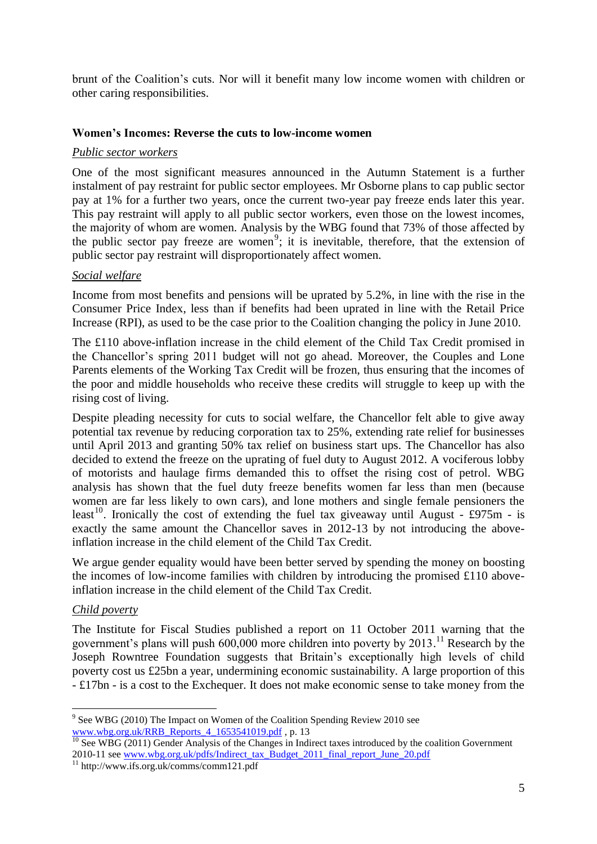brunt of the Coalition's cuts. Nor will it benefit many low income women with children or other caring responsibilities.

## **Women's Incomes: Reverse the cuts to low-income women**

#### *Public sector workers*

One of the most significant measures announced in the Autumn Statement is a further instalment of pay restraint for public sector employees. Mr Osborne plans to cap public sector pay at 1% for a further two years, once the current two-year pay freeze ends later this year. This pay restraint will apply to all public sector workers, even those on the lowest incomes, the majority of whom are women. Analysis by the WBG found that 73% of those affected by the public sector pay freeze are women<sup>9</sup>; it is inevitable, therefore, that the extension of public sector pay restraint will disproportionately affect women.

## *Social welfare*

Income from most benefits and pensions will be uprated by 5.2%, in line with the rise in the Consumer Price Index, less than if benefits had been uprated in line with the Retail Price Increase (RPI), as used to be the case prior to the Coalition changing the policy in June 2010.

The £110 above-inflation increase in the child element of the Child Tax Credit promised in the Chancellor's spring 2011 budget will not go ahead. Moreover, the Couples and Lone Parents elements of the Working Tax Credit will be frozen, thus ensuring that the incomes of the poor and middle households who receive these credits will struggle to keep up with the rising cost of living.

Despite pleading necessity for cuts to social welfare, the Chancellor felt able to give away potential tax revenue by reducing corporation tax to 25%, extending rate relief for businesses until April 2013 and granting 50% tax relief on business start ups. The Chancellor has also decided to extend the freeze on the uprating of fuel duty to August 2012. A vociferous lobby of motorists and haulage firms demanded this to offset the rising cost of petrol. WBG analysis has shown that the fuel duty freeze benefits women far less than men (because women are far less likely to own cars), and lone mothers and single female pensioners the least<sup>10</sup>. Ironically the cost of extending the fuel tax giveaway until August - £975m - is exactly the same amount the Chancellor saves in 2012-13 by not introducing the aboveinflation increase in the child element of the Child Tax Credit.

We argue gender equality would have been better served by spending the money on boosting the incomes of low-income families with children by introducing the promised £110 aboveinflation increase in the child element of the Child Tax Credit.

#### *Child poverty*

<u>.</u>

The Institute for Fiscal Studies published a report on 11 October 2011 warning that the government's plans will push  $600,000$  more children into poverty by 2013.<sup>11</sup> Research by the Joseph Rowntree Foundation suggests that Britain's exceptionally high levels of child poverty cost us £25bn a year, undermining economic sustainability. A large proportion of this - £17bn - is a cost to the Exchequer. It does not make economic sense to take money from the

<sup>&</sup>lt;sup>9</sup> See WBG (2010) The Impact on Women of the Coalition Spending Review 2010 see [www.wbg.org.uk/RRB\\_Reports\\_4\\_1653541019.pdf](http://www.wbg.org.uk/RRB_Reports_4_1653541019.pdf) , p. 13

<sup>&</sup>lt;sup>10</sup> See WBG (2011) Gender Analysis of the Changes in Indirect taxes introduced by the coalition Government 2010-11 see [www.wbg.org.uk/pdfs/Indirect\\_tax\\_Budget\\_2011\\_final\\_report\\_June\\_20.pdf](http://www.wbg.org.uk/pdfs/Indirect_tax_Budget_2011_final_report_June_20.pdf)

<sup>11</sup> http://www.ifs.org.uk/comms/comm121.pdf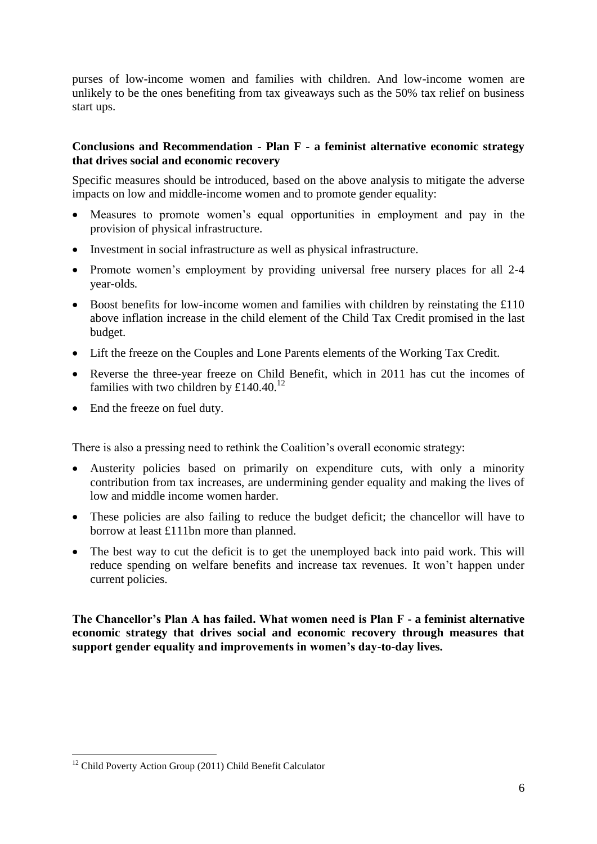purses of low-income women and families with children. And low-income women are unlikely to be the ones benefiting from tax giveaways such as the 50% tax relief on business start ups.

# **Conclusions and Recommendation - Plan F - a feminist alternative economic strategy that drives social and economic recovery**

Specific measures should be introduced, based on the above analysis to mitigate the adverse impacts on low and middle-income women and to promote gender equality:

- Measures to promote women's equal opportunities in employment and pay in the provision of physical infrastructure.
- Investment in social infrastructure as well as physical infrastructure.
- Promote women's employment by providing universal free nursery places for all 2-4 year-olds*.*
- Boost benefits for low-income women and families with children by reinstating the £110 above inflation increase in the child element of the Child Tax Credit promised in the last budget.
- Lift the freeze on the Couples and Lone Parents elements of the Working Tax Credit.
- Reverse the three-year freeze on Child Benefit, which in 2011 has cut the incomes of families with two children by £140.40. $12$
- End the freeze on fuel duty.

There is also a pressing need to rethink the Coalition's overall economic strategy:

- Austerity policies based on primarily on expenditure cuts, with only a minority contribution from tax increases, are undermining gender equality and making the lives of low and middle income women harder.
- These policies are also failing to reduce the budget deficit; the chancellor will have to borrow at least £111bn more than planned.
- The best way to cut the deficit is to get the unemployed back into paid work. This will reduce spending on welfare benefits and increase tax revenues. It won't happen under current policies.

**The Chancellor's Plan A has failed. What women need is Plan F - a feminist alternative economic strategy that drives social and economic recovery through measures that support gender equality and improvements in women's day-to-day lives.** 

1

<sup>&</sup>lt;sup>12</sup> Child Poverty Action Group (2011) Child Benefit Calculator